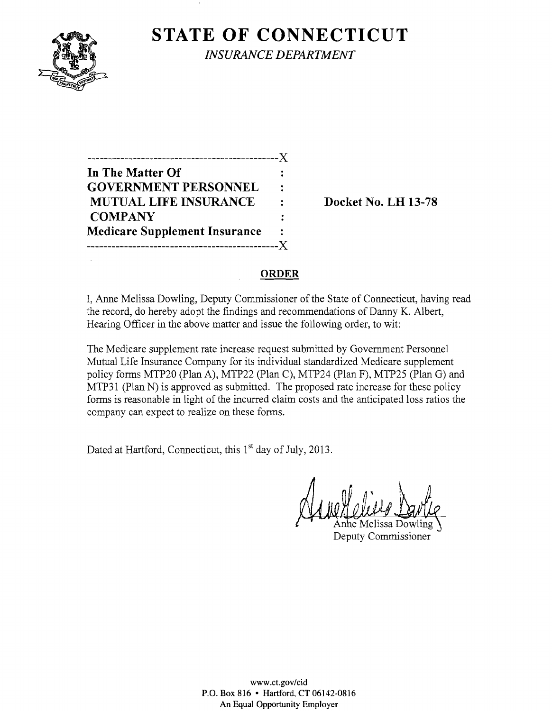

 $\mathcal{L}_{\mathcal{A}}$ 

**STATE OF CONNECTICUT** *INSURANCE DEPARTMENT* 

| ------------------------             |   |
|--------------------------------------|---|
| In The Matter Of                     |   |
| <b>GOVERNMENT PERSONNEL</b>          | ٠ |
| <b>MUTUAL LIFE INSURANCE</b>         |   |
| <b>COMPANY</b>                       |   |
| <b>Medicare Supplement Insurance</b> | ÷ |
|                                      |   |

**Docket No. LH 13-78** 

## **ORDER**

I, Anne Melissa Dowling, Deputy Commissioner of the State of Connecticut, having read the record, do hereby adopt the findings and recommendations of Danny K. Albert, Hearing Officer in the above matter and issue the following order, to wit:

The Medicare supplement rate increase request submitted by Government Personnel Mutual Life Insurance Company for its individual standardized Medicare supplement policy forms MTP20 (Plan A), MTP22 (Plan C), MTP24 (Plan F), MTP25 (Plan G) and MTP31 (Plan N) is approved as submitted. The proposed rate increase for these policy forms is reasonable in light of the incurred claim costs and the anticipated loss ratios the company can expect to realize on these forms.

Dated at Hartford, Connecticut, this 1<sup>st</sup> day of July, 2013.

e Melissa Dowling Deputy Commissioner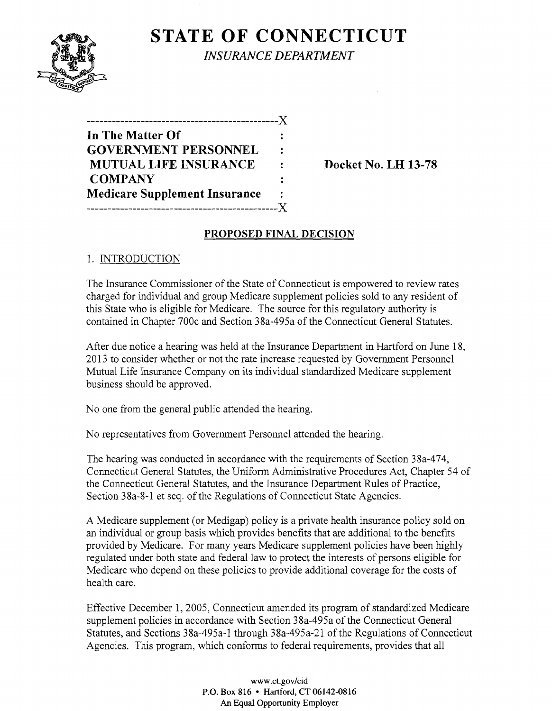

**STATE OF CONNECTICUT** *INSURANCE DEPARTMENT* 

| In The Matter Of                     |   |
|--------------------------------------|---|
| <b>GOVERNMENT PERSONNEL</b>          | ÷ |
| <b>MUTUAL LIFE INSURANCE</b>         | ٠ |
| <b>COMPANY</b>                       |   |
| <b>Medicare Supplement Insurance</b> |   |
| -----------                          |   |
|                                      |   |

Docket No. LH 13-78

## PROPOSED FINAL DECISION

1. INTRODUCTION

The Insurance Commissioner of the State of Connecticut is empowered to review rates charged for individual and group Medicare supplement policies sold to any resident of this State who is eligible for Medicare. The source for this regulatory authority is contained in Chapter 700c and Section 38a-495a of the Connecticut General Statutes.

After due notice a hearing was held at the Insurance Department in Hartford on June 18, 2013 to consider whether or not the rate increase requested by Government Personnel Mutual Life Insurance Company on its individual standardized Medicare supplement business should be approved.

No one from the general public attended the hearing.

No representatives from Government Personnel attended the hearing.

The hearing was conducted in accordance with the requirements of Section 38a-474, Connecticut General Statutes, the Uniform Administrative Procedures Act, Chapter 54 of the Connecticut General Statutes, and the Insurance Department Rules of Practice, Section 38a-8-1 et seq. of the Regulations of Connecticut State Agencies.

A Medicare supplement (or Medigap) policy is a private health insurance policy sold on an individual or group basis which provides benefits that are additional to the benefits provided by Medicare. For many years Medicare supplement policies have been highly regulated under both state and federal law to protect the interests of persons eligible for Medicare who depend on these policies to provide additional coverage for the costs of health care.

Effective December 1,2005, Connecticut amended its program of standardized Medicare supplement policies in accordance with Section 38a-495a of the Connecticut General Statutes, and Sections 38a-495a-I through 38a-495a-2I of the Regulations of Connecticut Agencies. This program, which conforms to federal requirements, provides that all

> www.ct.gov/cid P.O. Box 816 • Hartford, CT 06142-0816 An Equal Opportunity Employer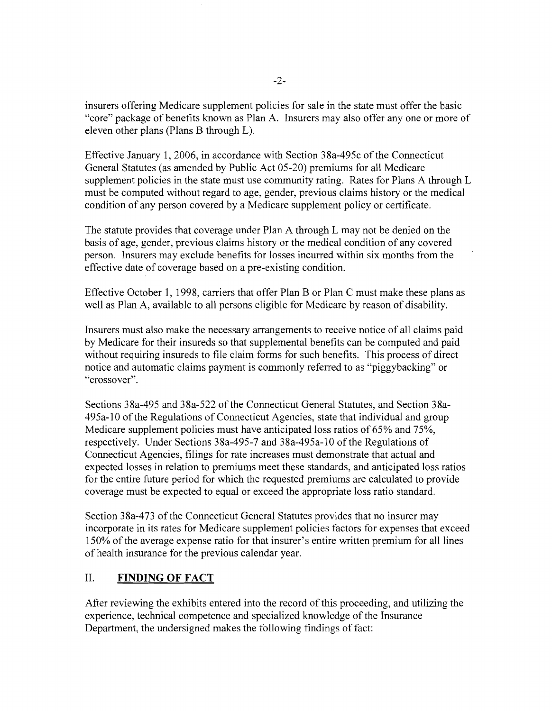insurers offering Medicare supplement policies for sale in the state must offer the basic "core" package of benefits known as Plan A. Insurers may also offer anyone or more of eleven other plans (Plans B through L).

Effective January **1,2006,** in accordance with Section 38a-495c of the Connecticut General Statutes (as amended by Public Act 05-20) premiums for all Medicare supplement policies in the state must use community rating. Rates for Plans A through L must be computed without regard to age, gender, previous claims history or the medical condition of any person covered by a Medicare supplement policy or certificate.

The statute provides that coverage under Plan A through L may not be denied on the basis of age, gender, previous claims history or the medical condition of any covered person. Insurers may exclude benefits for losses incurred within six months from the effective date of coverage based on a pre-existing condition.

Effective October **1,1998,** carriers that offer Plan B or Plan C must make these plans as well as Plan A, available to all persons eligible for Medicare by reason of disability.

Insurers must also make the necessary arrangements to receive notice of all claims paid by Medicare for their insureds so that supplemental benefits can be computed and paid without requiring insureds to file claim forms for such benefits. This process of direct notice and automatic claims payment is commonly referred to as "piggybacking" or "crossover".

Sections 38a-495 and 38a-522 of the Connecticut General Statutes, and Section 38a-495a-10 of the Regulations of Connecticut Agencies, state that individual and group Medicare supplement policies must have anticipated loss ratios of 65% and 75%, respectively. Under Sections 38a-495-7 and 38a-495a-10 of the Regulations of Connecticut Agencies, filings for rate increases must demonstrate that actual and expected losses in relation to premiums meet these standards, and anticipated loss ratios for the entire future period for which the requested premiums are calculated to provide coverage must be expected to equal or exceed the appropriate loss ratio standard.

Section 38a-473 of the Connecticut General Statutes provides that no insurer may incorporate in its rates for Medicare supplement policies factors for expenses that exceed 150% of the average expense ratio for that insurer's entire written premium for all lines of health insurance for the previous calendar year.

## II. **FINDING OF FACT**

After reviewing the exhibits entered into the record of this proceeding, and utilizing the experience, technical competence and specialized knowledge of the Insurance Department, the undersigned makes the following findings of fact: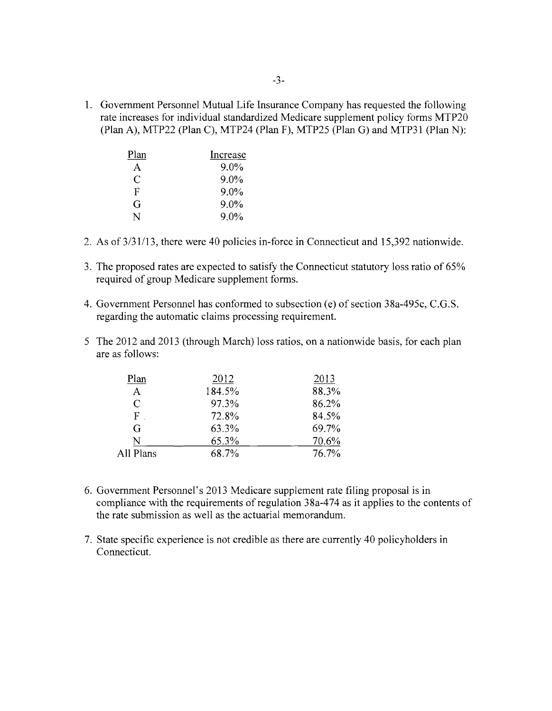1. Government Personnel Mutual Life Insurance Company has requested the following rate increases for individual standardized Medicare supplement policy forms MTP20 (Plan A), MTP22 (Plan C), MTP24 (Plan F), MTP25 (Plan G) and MTP31 (Plan N):

| Plan | Increase |
|------|----------|
| A    | $9.0\%$  |
| C    | $9.0\%$  |
| F    | $9.0\%$  |
| G    | 9.0%     |
| N    | 9.0%     |

- 2. As of  $3/31/13$ , there were 40 policies in-force in Connecticut and 15,392 nationwide.
- 3. The proposed rates are expected to satisfy the Connecticut statutory loss ratio of 65% required of group Medicare supplement forms.
- 4. Government Personnel has conformed to subsection (e) of section 38a-495c, C.G.S. regarding the automatic claims processing requirement.
- 5 The 2012 and 2013 (through March) loss ratios, on a nationwide basis, for each plan are as follows:

| 2012   | 2013  |
|--------|-------|
| 184.5% | 88.3% |
| 97.3%  | 86.2% |
| 72.8%  | 84.5% |
| 63.3%  | 69.7% |
| 65.3%  | 70.6% |
| 68.7%  | 76.7% |
|        |       |

- 6. Government Personnel's 2013 Medicare supplement rate filing proposal is in compliance with the requirements of regulation 38a-474 as it applies to the contents of the rate submission as well as the actuarial memorandum.
- 7. State specific experience is not credible as there are currently 40 policyholders in Connecticut.